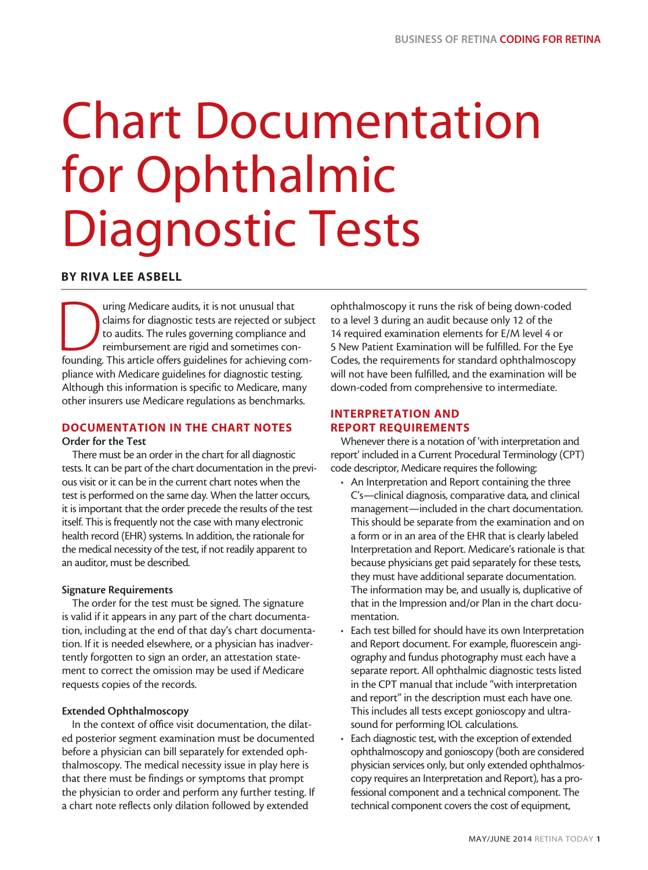# Chart Documentation for Ophthalmic Diagnostic Tests

# BY RIVA LEE ASBELL

Turing Medicare audits, it is not unusual that claims for diagnostic tests are rejected or subjection and reimbursement are rigid and sometimes con-<br>founding. This article offers guidelines for achieving comclaims for diagnostic tests are rejected or subject to audits. The rules governing compliance and reimbursement are rigid and sometimes conpliance with Medicare guidelines for diagnostic testing. Although this information is specific to Medicare, many other insurers use Medicare regulations as benchmarks.

### DOCUMENTATION IN THE CHART NOTES Order for the Test

There must be an order in the chart for all diagnostic tests. It can be part of the chart documentation in the previous visit or it can be in the current chart notes when the test is performed on the same day. When the latter occurs, it is important that the order precede the results of the test itself. This is frequently not the case with many electronic health record (EHR) systems. In addition, the rationale for the medical necessity of the test, if not readily apparent to an auditor, must be described.

### Signature Requirements

The order for the test must be signed. The signature is valid if it appears in any part of the chart documentation, including at the end of that day's chart documentation. If it is needed elsewhere, or a physician has inadvertently forgotten to sign an order, an attestation statement to correct the omission may be used if Medicare requests copies of the records.

### Extended Ophthalmoscopy

In the context of office visit documentation, the dilated posterior segment examination must be documented before a physician can bill separately for extended ophthalmoscopy. The medical necessity issue in play here is that there must be findings or symptoms that prompt the physician to order and perform any further testing. If a chart note reflects only dilation followed by extended

ophthalmoscopy it runs the risk of being down-coded to a level 3 during an audit because only 12 of the 14 required examination elements for E/M level 4 or 5 New Patient Examination will be fulfilled. For the Eye Codes, the requirements for standard ophthalmoscopy will not have been fulfilled, and the examination will be down-coded from comprehensive to intermediate.

# INTERPRETATION AND REPORT REQUIREMENTS

Whenever there is a notation of 'with interpretation and report' included in a Current Procedural Terminology (CPT) code descriptor, Medicare requires the following:

- An Interpretation and Report containing the three C's—clinical diagnosis, comparative data, and clinical management—included in the chart documentation. This should be separate from the examination and on a form or in an area of the EHR that is clearly labeled Interpretation and Report. Medicare's rationale is that because physicians get paid separately for these tests, they must have additional separate documentation. The information may be, and usually is, duplicative of that in the Impression and/or Plan in the chart documentation.
- Each test billed for should have its own Interpretation and Report document. For example, fluorescein angiography and fundus photography must each have a separate report. All ophthalmic diagnostic tests listed in the CPT manual that include "with interpretation and report" in the description must each have one. This includes all tests except gonioscopy and ultrasound for performing IOL calculations.
- Each diagnostic test, with the exception of extended ophthalmoscopy and gonioscopy (both are considered physician services only, but only extended ophthalmoscopy requires an Interpretation and Report), has a professional component and a technical component. The technical component covers the cost of equipment,